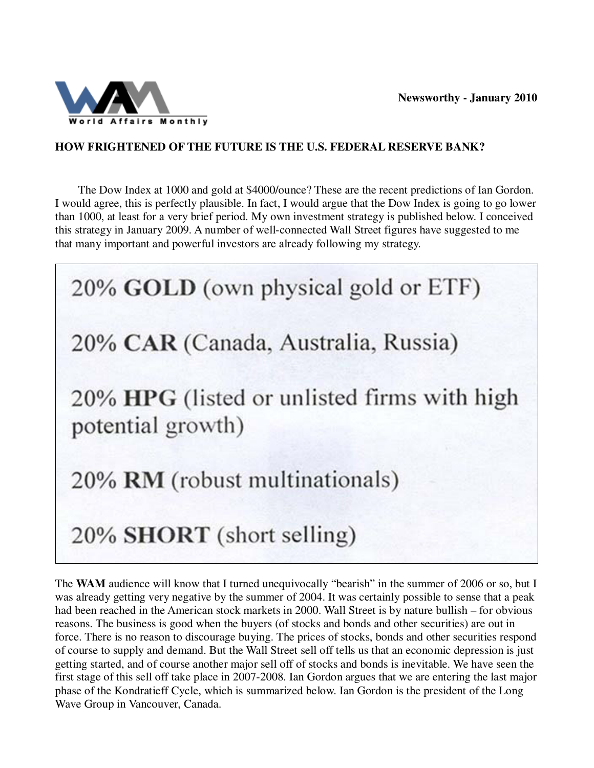

## **HOW FRIGHTENED OF THE FUTURE IS THE U.S. FEDERAL RESERVE BANK?**

 The Dow Index at 1000 and gold at \$4000/ounce? These are the recent predictions of Ian Gordon. I would agree, this is perfectly plausible. In fact, I would argue that the Dow Index is going to go lower than 1000, at least for a very brief period. My own investment strategy is published below. I conceived this strategy in January 2009. A number of well-connected Wall Street figures have suggested to me that many important and powerful investors are already following my strategy.

20% GOLD (own physical gold or ETF) 20% CAR (Canada, Australia, Russia) 20% HPG (listed or unlisted firms with high potential growth) 20% RM (robust multinationals) 20% SHORT (short selling)

The WAM audience will know that I turned unequivocally "bearish" in the summer of 2006 or so, but I was already getting very negative by the summer of 2004. It was certainly possible to sense that a peak had been reached in the American stock markets in 2000. Wall Street is by nature bullish – for obvious reasons. The business is good when the buyers (of stocks and bonds and other securities) are out in force. There is no reason to discourage buying. The prices of stocks, bonds and other securities respond of course to supply and demand. But the Wall Street sell off tells us that an economic depression is just getting started, and of course another major sell off of stocks and bonds is inevitable. We have seen the first stage of this sell off take place in 2007-2008. Ian Gordon argues that we are entering the last major phase of the Kondratieff Cycle, which is summarized below. Ian Gordon is the president of the Long Wave Group in Vancouver, Canada.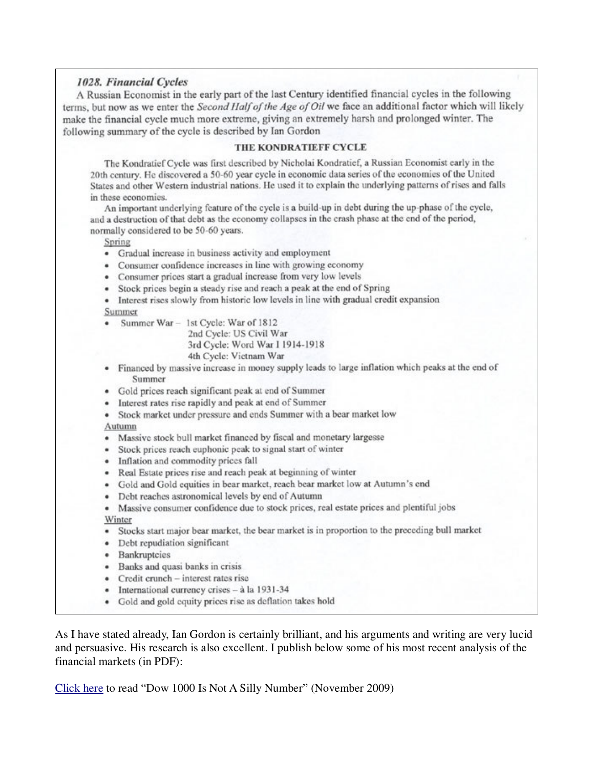### 1028. Financial Cycles

A Russian Economist in the early part of the last Century identified financial cycles in the following terms, but now as we enter the Second Half of the Age of Oil we face an additional factor which will likely make the financial cycle much more extreme, giving an extremely harsh and prolonged winter. The following summary of the cycle is described by Ian Gordon

#### THE KONDRATIEFF CYCLE

The Kondratief Cycle was first described by Nicholai Kondratief, a Russian Economist early in the 20th century. He discovered a 50-60 year cycle in economic data series of the economies of the United States and other Western industrial nations. He used it to explain the underlying patterns of rises and falls in these economies.

An important underlying feature of the cycle is a build-up in debt during the up-phase of the cycle, and a destruction of that debt as the economy collapses in the crash phase at the end of the period, normally considered to be 50-60 years.

#### Spring

- Gradual increase in business activity and employment
- Consumer confidence increases in line with growing economy
- Consumer prices start a gradual increase from very low levels
- · Stock prices begin a steady rise and reach a peak at the end of Spring
- Interest rises slowly from historic low levels in line with gradual credit expansion Summer
- Summer War 1st Cycle: War of 1812

2nd Cycle: US Civil War 3rd Cycle: Word War I 1914-1918 4th Cycle: Vietnam War

- Financed by massive increase in money supply leads to large inflation which peaks at the end of Summer
- · Gold prices reach significant peak at end of Summer
- · Interest rates rise rapidly and peak at end of Summer
- Stock market under pressure and ends Summer with a bear market low

Autumn

- · Massive stock bull market financed by fiscal and monetary largesse
- · Stock prices reach euphonic peak to signal start of winter
- Inflation and commodity prices fall
- · Real Estate prices rise and reach peak at beginning of winter
- · Gold and Gold equities in bear market, reach bear market low at Autumn's end
- · Debt reaches astronomical levels by end of Autumn
- Massive consumer confidence due to stock prices, real estate prices and plentiful jobs Winter
- Stocks start major bear market, the bear market is in proportion to the preceding bull market
- · Debt repudiation significant
- · Bankruptcies
- · Banks and quasi banks in crisis
- Credit crunch interest rates rise
- · International currency crises à la 1931-34
- Gold and gold equity prices rise as deflation takes hold

As I have stated already, Ian Gordon is certainly brilliant, and his arguments and writing are very lucid and persuasive. His research is also excellent. I publish below some of his most recent analysis of the financial markets (in PDF):

Click here to read "Dow 1000 Is Not A Silly Number" (November 2009)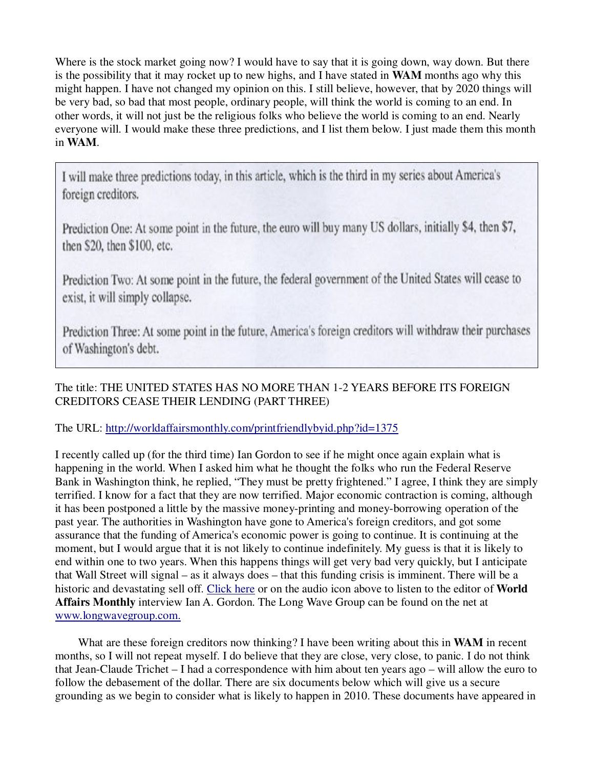Where is the stock market going now? I would have to say that it is going down, way down. But there is the possibility that it may rocket up to new highs, and I have stated in **WAM** months ago why this might happen. I have not changed my opinion on this. I still believe, however, that by 2020 things will be very bad, so bad that most people, ordinary people, will think the world is coming to an end. In other words, it will not just be the religious folks who believe the world is coming to an end. Nearly everyone will. I would make these three predictions, and I list them below. I just made them this month in **WAM**.

I will make three predictions today, in this article, which is the third in my series about America's foreign creditors.

Prediction One: At some point in the future, the euro will buy many US dollars, initially \$4, then \$7, then \$20, then \$100, etc.

Prediction Two: At some point in the future, the federal government of the United States will cease to exist, it will simply collapse.

Prediction Three: At some point in the future, America's foreign creditors will withdraw their purchases of Washington's debt.

## The title: THE UNITED STATES HAS NO MORE THAN 1-2 YEARS BEFORE ITS FOREIGN CREDITORS CEASE THEIR LENDING (PART THREE)

### The URL: http://worldaffairsmonthly.com/printfriendlybyid.php?id=1375

I recently called up (for the third time) Ian Gordon to see if he might once again explain what is happening in the world. When I asked him what he thought the folks who run the Federal Reserve Bank in Washington think, he replied, "They must be pretty frightened." I agree, I think they are simply terrified. I know for a fact that they are now terrified. Major economic contraction is coming, although it has been postponed a little by the massive money-printing and money-borrowing operation of the past year. The authorities in Washington have gone to America's foreign creditors, and got some assurance that the funding of America's economic power is going to continue. It is continuing at the moment, but I would argue that it is not likely to continue indefinitely. My guess is that it is likely to end within one to two years. When this happens things will get very bad very quickly, but I anticipate that Wall Street will signal – as it always does – that this funding crisis is imminent. There will be a historic and devastating sell off. Click here or on the audio icon above to listen to the editor of **World Affairs Monthly** interview Ian A. Gordon. The Long Wave Group can be found on the net at www.longwavegroup.com.

 What are these foreign creditors now thinking? I have been writing about this in **WAM** in recent months, so I will not repeat myself. I do believe that they are close, very close, to panic. I do not think that Jean-Claude Trichet – I had a correspondence with him about ten years ago – will allow the euro to follow the debasement of the dollar. There are six documents below which will give us a secure grounding as we begin to consider what is likely to happen in 2010. These documents have appeared in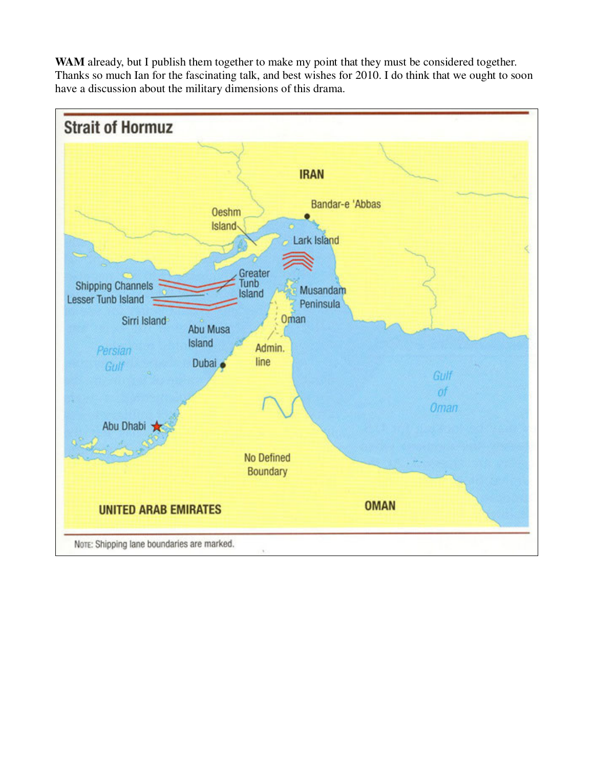

**WAM** already, but I publish them together to make my point that they must be considered together. Thanks so much Ian for the fascinating talk, and best wishes for 2010. I do think that we ought to soon have a discussion about the military dimensions of this drama.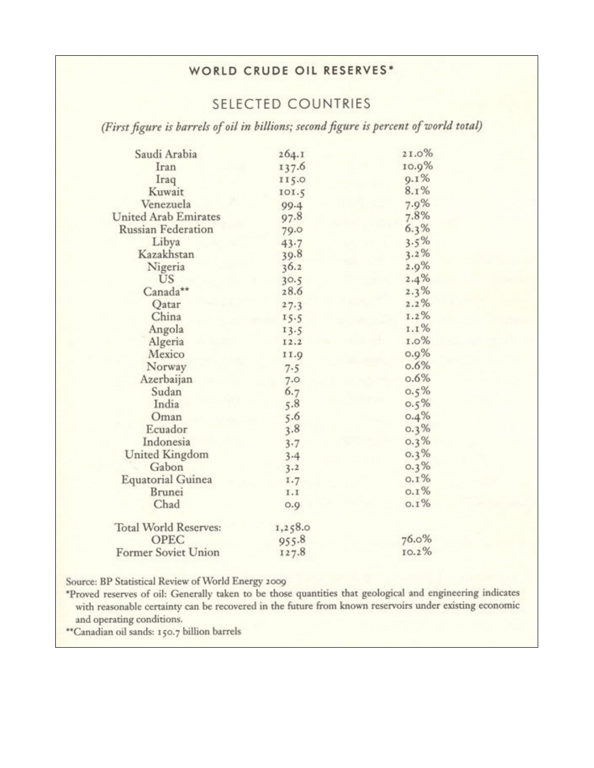# WORLD CRUDE OIL RESERVES\*

# **SELECTED COUNTRIES**

(First figure is barrels of oil in billions; second figure is percent of world total)

| Saudi Arabia                 | 264.1    | 21.0%   |
|------------------------------|----------|---------|
| Iran                         | 137.6    | 10.9%   |
| Iraq                         | 115.0    | $9.1\%$ |
| Kuwait                       | 101.5    | 8.1%    |
| Venezuela                    | 99.4     | 7.9%    |
| <b>United Arab Emirates</b>  | 97.8     | 7.8%    |
| <b>Russian Federation</b>    | 79.0     | 6.3%    |
| Libya                        | $43 - 7$ | 3.5%    |
| Kazakhstan                   | 39.8     | 3.2%    |
| Nigeria                      | 36.2     | 2.9%    |
| US                           | 30.5     | 2.4%    |
| Canada**                     | 28.6     | 2.3%    |
| Qatar                        | 27.3     | 2.2%    |
| China                        | 15.5     | I.2%    |
| Angola                       | 13.5     | 1.1%    |
| Algeria                      | 12.2     | 1.0%    |
| Mexico                       | 11.9     | 0.9%    |
| Norway                       | 7.5      | 0.6%    |
| Azerbaijan                   | 7.0      | 0.6%    |
| Sudan                        | 6.7      | 0.5%    |
| India                        | 5.8      | $0.5\%$ |
| Oman                         | 5.6      | 0.4%    |
| Ecuador                      | 3.8      | $0.3\%$ |
| Indonesia                    | 3.7      | 0.3%    |
| <b>United Kingdom</b>        | 3.4      | 0.3%    |
| Gabon                        | 3.2      | 0.3%    |
| <b>Equatorial Guinea</b>     | 1.7      | $0.1\%$ |
| <b>Brunei</b>                | I.I      | $0.1\%$ |
| Chad                         | 0.9      | $0.1\%$ |
| <b>Total World Reserves:</b> | 1,258.0  |         |
| OPEC                         | 955.8    | 76.0%   |
| Former Soviet Union          | 127.8    | 10.2%   |
|                              |          |         |

Source: BP Statistical Review of World Energy 2009

\*Proved reserves of oil: Generally taken to be those quantities that geological and engineering indicates with reasonable certainty can be recovered in the future from known reservoirs under existing economic and operating conditions.

"Canadian oil sands: 150.7 billion barrels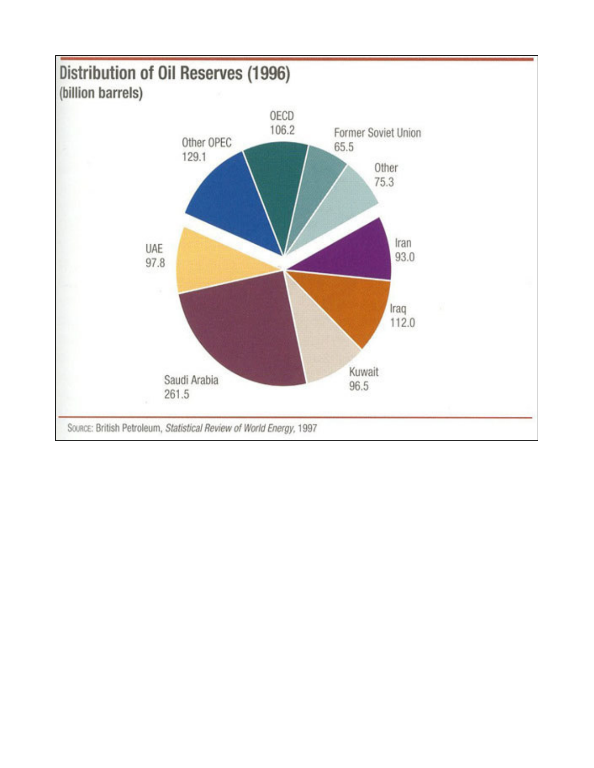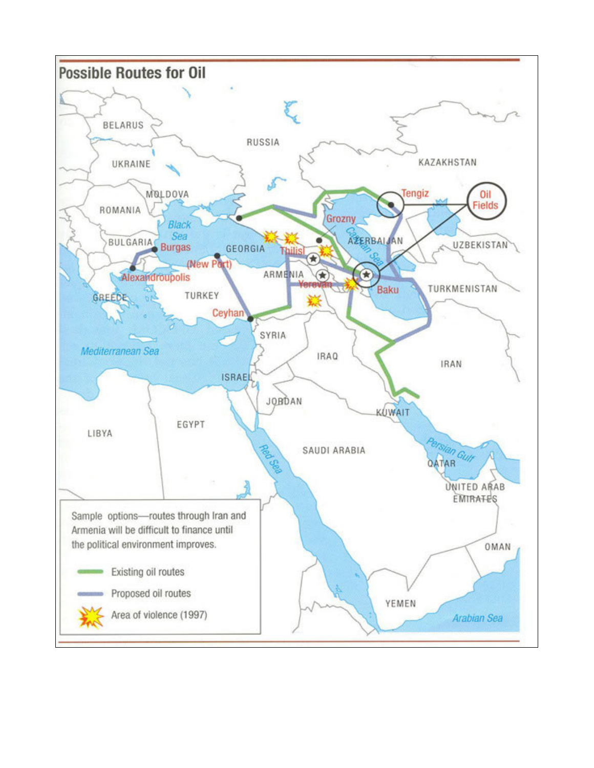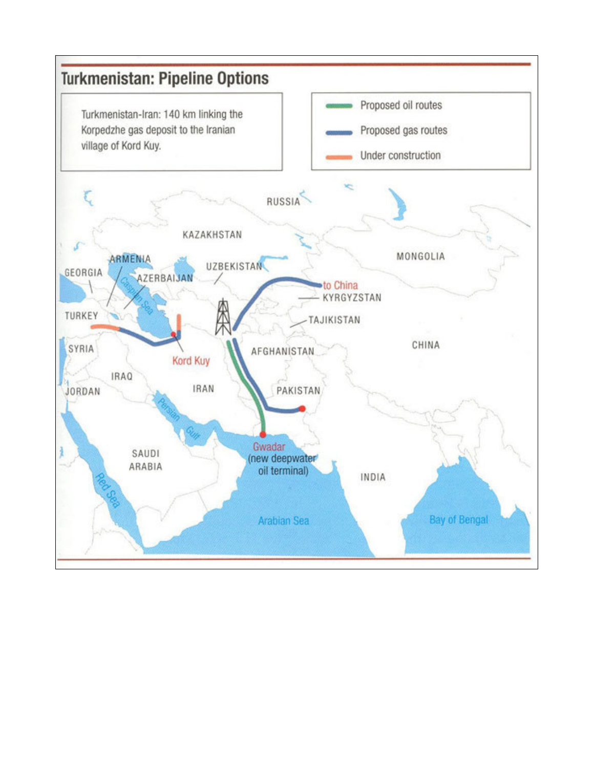